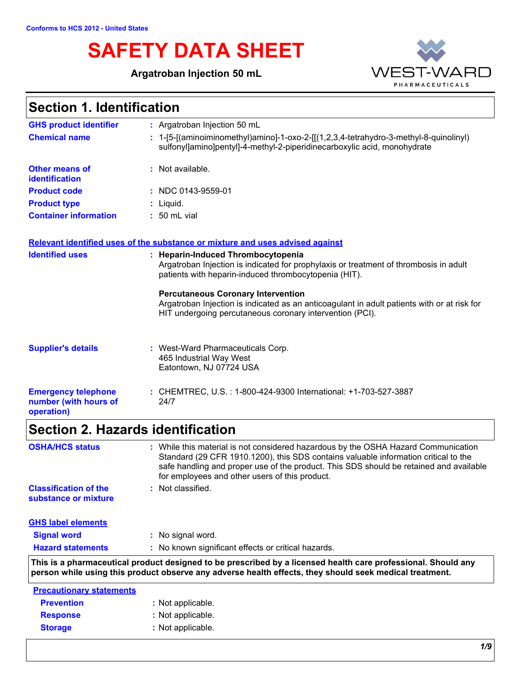# **SAFETY DATA SHEET**

**Argatroban Injection 50 mL**



### **Section 1. Identification**

| <b>GHS product identifier</b>                  | : Argatroban Injection 50 mL                                                                                                                                                                         |
|------------------------------------------------|------------------------------------------------------------------------------------------------------------------------------------------------------------------------------------------------------|
| <b>Chemical name</b>                           | : $1-[5-[(\text{aminoiminomethyl})\text{amino}]-1-\text{oxo-2-}[(1,2,3,4-\text{tetrahydro-3-methyl-8-quinolinyl})]$<br>sulfonyl]amino]pentyl]-4-methyl-2-piperidinecarboxylic acid, monohydrate      |
| <b>Other means of</b><br><b>identification</b> | $:$ Not available.                                                                                                                                                                                   |
| <b>Product code</b>                            | $:$ NDC 0143-9559-01                                                                                                                                                                                 |
| <b>Product type</b>                            | $:$ Liquid.                                                                                                                                                                                          |
| <b>Container information</b>                   | $: 50$ mL vial                                                                                                                                                                                       |
|                                                | Relevant identified uses of the substance or mixture and uses advised against                                                                                                                        |
| <b>Identified uses</b>                         | : Heparin-Induced Thrombocytopenia<br>Argatroban Injection is indicated for prophylaxis or treatment of thrombosis in adult<br>patients with heparin-induced thrombocytopenia (HIT).                 |
|                                                | <b>Percutaneous Coronary Intervention</b><br>Argatroban Injection is indicated as an anticoagulant in adult patients with or at risk for<br>HIT undergoing percutaneous coronary intervention (PCI). |

| <b>Supplier's details</b>                                         | : West-Ward Pharmaceuticals Corp.<br>465 Industrial Way West<br>Eatontown, NJ 07724 USA |  |
|-------------------------------------------------------------------|-----------------------------------------------------------------------------------------|--|
| <b>Emergency telephone</b><br>number (with hours of<br>operation) | : CHEMTREC, U.S. : 1-800-424-9300 International: +1-703-527-3887<br>24/7                |  |

# **Section 2. Hazards identification**

| <b>OSHA/HCS status</b>                               | : While this material is not considered hazardous by the OSHA Hazard Communication<br>Standard (29 CFR 1910.1200), this SDS contains valuable information critical to the<br>safe handling and proper use of the product. This SDS should be retained and available<br>for employees and other users of this product. |
|------------------------------------------------------|-----------------------------------------------------------------------------------------------------------------------------------------------------------------------------------------------------------------------------------------------------------------------------------------------------------------------|
| <b>Classification of the</b><br>substance or mixture | : Not classified.                                                                                                                                                                                                                                                                                                     |
| <b>GHS label elements</b>                            |                                                                                                                                                                                                                                                                                                                       |
| <b>Signal word</b>                                   | : No signal word.                                                                                                                                                                                                                                                                                                     |
| <b>Hazard statements</b>                             | : No known significant effects or critical hazards.                                                                                                                                                                                                                                                                   |
|                                                      | This is a pharmaceutical product designed to be prescribed by a licensed health care professional. Should any<br>person while using this product observe any adverse health effects, they should seek medical treatment.                                                                                              |
|                                                      |                                                                                                                                                                                                                                                                                                                       |
| <b>Precautionary statements</b><br><b>Prevention</b> |                                                                                                                                                                                                                                                                                                                       |
| <b>Response</b>                                      | : Not applicable.<br>: Not applicable.                                                                                                                                                                                                                                                                                |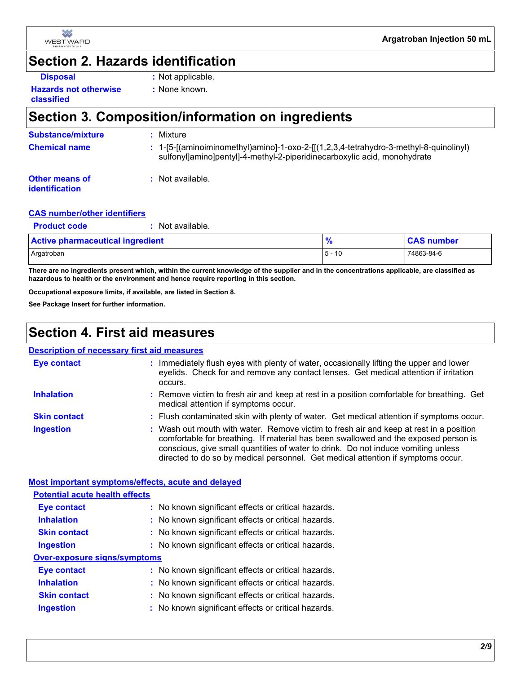

### **Section 2. Hazards identification**

**Hazards not otherwise classified**

#### **Disposal :** Not applicable. **:** None known.

### **Section 3. Composition/information on ingredients**

| <b>Substance/mixture</b>                | Mixture                                                                                                                                                           |
|-----------------------------------------|-------------------------------------------------------------------------------------------------------------------------------------------------------------------|
| <b>Chemical name</b>                    | : 1-[5-[(aminoiminomethyl)amino]-1-oxo-2-[[(1,2,3,4-tetrahydro-3-methyl-8-quinolinyl)<br>sulfonyl]amino]pentyl]-4-methyl-2-piperidinecarboxylic acid, monohydrate |
| <b>Other means of</b><br>identification | $:$ Not available.                                                                                                                                                |
|                                         |                                                                                                                                                                   |

#### **CAS number/other identifiers**

| <b>Product code</b> | : Not available. |
|---------------------|------------------|
|                     |                  |

| <b>Active pharmaceutical ingredient</b> |           | <b>CAS number</b> |
|-----------------------------------------|-----------|-------------------|
| Argatroban                              | 10<br>5 - | 74863-84-6        |

**There are no ingredients present which, within the current knowledge of the supplier and in the concentrations applicable, are classified as hazardous to health or the environment and hence require reporting in this section.**

**Occupational exposure limits, if available, are listed in Section 8.**

**See Package Insert for further information.**

### **Section 4. First aid measures**

#### **Description of necessary first aid measures**

| <b>Eye contact</b>  | Immediately flush eyes with plenty of water, occasionally lifting the upper and lower<br>eyelids. Check for and remove any contact lenses. Get medical attention if irritation<br>occurs.                                                                                                                                                              |
|---------------------|--------------------------------------------------------------------------------------------------------------------------------------------------------------------------------------------------------------------------------------------------------------------------------------------------------------------------------------------------------|
| <b>Inhalation</b>   | : Remove victim to fresh air and keep at rest in a position comfortable for breathing. Get<br>medical attention if symptoms occur.                                                                                                                                                                                                                     |
| <b>Skin contact</b> | : Flush contaminated skin with plenty of water. Get medical attention if symptoms occur.                                                                                                                                                                                                                                                               |
| <b>Ingestion</b>    | : Wash out mouth with water. Remove victim to fresh air and keep at rest in a position<br>comfortable for breathing. If material has been swallowed and the exposed person is<br>conscious, give small quantities of water to drink. Do not induce vomiting unless<br>directed to do so by medical personnel. Get medical attention if symptoms occur. |

| Most important symptoms/effects, acute and delayed |                                                     |  |  |
|----------------------------------------------------|-----------------------------------------------------|--|--|
| <b>Potential acute health effects</b>              |                                                     |  |  |
| Eye contact                                        | : No known significant effects or critical hazards. |  |  |
| <b>Inhalation</b>                                  | : No known significant effects or critical hazards. |  |  |
| <b>Skin contact</b>                                | : No known significant effects or critical hazards. |  |  |
| <b>Ingestion</b>                                   | : No known significant effects or critical hazards. |  |  |
| Over-exposure signs/symptoms                       |                                                     |  |  |
| Eye contact                                        | : No known significant effects or critical hazards. |  |  |
| <b>Inhalation</b>                                  | : No known significant effects or critical hazards. |  |  |
| <b>Skin contact</b>                                | : No known significant effects or critical hazards. |  |  |
| <b>Ingestion</b>                                   | : No known significant effects or critical hazards. |  |  |
|                                                    |                                                     |  |  |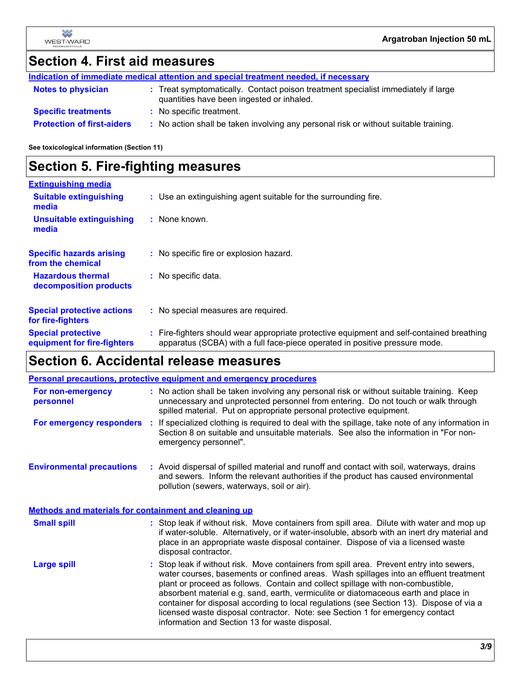### **Section 4. First aid measures**

| Indication of immediate medical attention and special treatment needed, if necessary |                                                                                                                                |  |  |
|--------------------------------------------------------------------------------------|--------------------------------------------------------------------------------------------------------------------------------|--|--|
| Notes to physician                                                                   | : Treat symptomatically. Contact poison treatment specialist immediately if large<br>quantities have been ingested or inhaled. |  |  |
| <b>Specific treatments</b>                                                           | : No specific treatment.                                                                                                       |  |  |
| <b>Protection of first-aiders</b>                                                    | : No action shall be taken involving any personal risk or without suitable training.                                           |  |  |

**See toxicological information (Section 11)**

### **Section 5. Fire-fighting measures**

| <b>Extinguishing media</b>                               |                                                                                                                                                                          |
|----------------------------------------------------------|--------------------------------------------------------------------------------------------------------------------------------------------------------------------------|
| <b>Suitable extinguishing</b><br>media                   | : Use an extinguishing agent suitable for the surrounding fire.                                                                                                          |
| <b>Unsuitable extinguishing</b><br>media                 | $:$ None known.                                                                                                                                                          |
| <b>Specific hazards arising</b><br>from the chemical     | : No specific fire or explosion hazard.                                                                                                                                  |
| <b>Hazardous thermal</b><br>decomposition products       | : No specific data.                                                                                                                                                      |
| <b>Special protective actions</b><br>for fire-fighters   | : No special measures are required.                                                                                                                                      |
| <b>Special protective</b><br>equipment for fire-fighters | : Fire-fighters should wear appropriate protective equipment and self-contained breathing<br>apparatus (SCBA) with a full face-piece operated in positive pressure mode. |

### **Section 6. Accidental release measures**

| <b>Personal precautions, protective equipment and emergency procedures</b> |  |                                                                                                                                                                                                                                                                                                                                                                                                                                                                                                                                                                                          |  |
|----------------------------------------------------------------------------|--|------------------------------------------------------------------------------------------------------------------------------------------------------------------------------------------------------------------------------------------------------------------------------------------------------------------------------------------------------------------------------------------------------------------------------------------------------------------------------------------------------------------------------------------------------------------------------------------|--|
| For non-emergency<br>personnel                                             |  | : No action shall be taken involving any personal risk or without suitable training. Keep<br>unnecessary and unprotected personnel from entering. Do not touch or walk through<br>spilled material. Put on appropriate personal protective equipment.                                                                                                                                                                                                                                                                                                                                    |  |
| For emergency responders :                                                 |  | If specialized clothing is required to deal with the spillage, take note of any information in<br>Section 8 on suitable and unsuitable materials. See also the information in "For non-<br>emergency personnel".                                                                                                                                                                                                                                                                                                                                                                         |  |
| <b>Environmental precautions</b>                                           |  | : Avoid dispersal of spilled material and runoff and contact with soil, waterways, drains<br>and sewers. Inform the relevant authorities if the product has caused environmental<br>pollution (sewers, waterways, soil or air).                                                                                                                                                                                                                                                                                                                                                          |  |
| <b>Methods and materials for containment and cleaning up</b>               |  |                                                                                                                                                                                                                                                                                                                                                                                                                                                                                                                                                                                          |  |
| <b>Small spill</b>                                                         |  | : Stop leak if without risk. Move containers from spill area. Dilute with water and mop up<br>if water-soluble. Alternatively, or if water-insoluble, absorb with an inert dry material and<br>place in an appropriate waste disposal container. Dispose of via a licensed waste<br>disposal contractor.                                                                                                                                                                                                                                                                                 |  |
| <b>Large spill</b>                                                         |  | Stop leak if without risk. Move containers from spill area. Prevent entry into sewers,<br>water courses, basements or confined areas. Wash spillages into an effluent treatment<br>plant or proceed as follows. Contain and collect spillage with non-combustible,<br>absorbent material e.g. sand, earth, vermiculite or diatomaceous earth and place in<br>container for disposal according to local regulations (see Section 13). Dispose of via a<br>licensed waste disposal contractor. Note: see Section 1 for emergency contact<br>information and Section 13 for waste disposal. |  |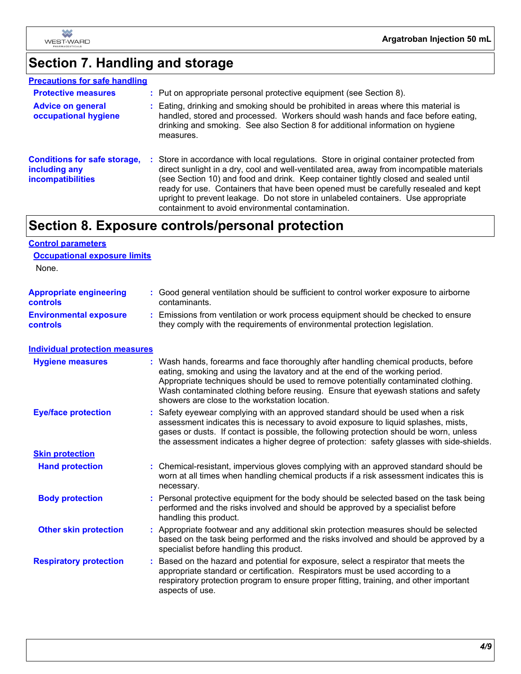

## **Section 7. Handling and storage**

#### **Precautions for safe handling**

| <b>Protective measures</b>                                                       | : Put on appropriate personal protective equipment (see Section 8).                                                                                                                                                                                                                                                                                                                                                                                                                                           |
|----------------------------------------------------------------------------------|---------------------------------------------------------------------------------------------------------------------------------------------------------------------------------------------------------------------------------------------------------------------------------------------------------------------------------------------------------------------------------------------------------------------------------------------------------------------------------------------------------------|
| <b>Advice on general</b><br>occupational hygiene                                 | : Eating, drinking and smoking should be prohibited in areas where this material is<br>handled, stored and processed. Workers should wash hands and face before eating,<br>drinking and smoking. See also Section 8 for additional information on hygiene<br>measures.                                                                                                                                                                                                                                        |
| <b>Conditions for safe storage,</b><br>including any<br><i>incompatibilities</i> | : Store in accordance with local regulations. Store in original container protected from<br>direct sunlight in a dry, cool and well-ventilated area, away from incompatible materials<br>(see Section 10) and food and drink. Keep container tightly closed and sealed until<br>ready for use. Containers that have been opened must be carefully resealed and kept<br>upright to prevent leakage. Do not store in unlabeled containers. Use appropriate<br>containment to avoid environmental contamination. |

### **Section 8. Exposure controls/personal protection**

#### **Control parameters**

| <b>Occupational exposure limits</b> |  |
|-------------------------------------|--|
| None.                               |  |

| <b>Appropriate engineering</b><br>controls | : Good general ventilation should be sufficient to control worker exposure to airborne<br>contaminants.                                                        |  |
|--------------------------------------------|----------------------------------------------------------------------------------------------------------------------------------------------------------------|--|
| <b>Environmental exposure</b><br>controls  | Emissions from ventilation or work process equipment should be checked to ensure<br>they comply with the requirements of environmental protection legislation. |  |

| <b>Individual protection measures</b> |                                                                                                                                                                                                                                                                                                                                                                                                   |
|---------------------------------------|---------------------------------------------------------------------------------------------------------------------------------------------------------------------------------------------------------------------------------------------------------------------------------------------------------------------------------------------------------------------------------------------------|
| <b>Hygiene measures</b>               | : Wash hands, forearms and face thoroughly after handling chemical products, before<br>eating, smoking and using the lavatory and at the end of the working period.<br>Appropriate techniques should be used to remove potentially contaminated clothing.<br>Wash contaminated clothing before reusing. Ensure that eyewash stations and safety<br>showers are close to the workstation location. |
| <b>Eye/face protection</b>            | Safety eyewear complying with an approved standard should be used when a risk<br>assessment indicates this is necessary to avoid exposure to liquid splashes, mists,<br>gases or dusts. If contact is possible, the following protection should be worn, unless<br>the assessment indicates a higher degree of protection: safety glasses with side-shields.                                      |
| <b>Skin protection</b>                |                                                                                                                                                                                                                                                                                                                                                                                                   |
| <b>Hand protection</b>                | : Chemical-resistant, impervious gloves complying with an approved standard should be<br>worn at all times when handling chemical products if a risk assessment indicates this is<br>necessary.                                                                                                                                                                                                   |
| <b>Body protection</b>                | Personal protective equipment for the body should be selected based on the task being<br>performed and the risks involved and should be approved by a specialist before<br>handling this product.                                                                                                                                                                                                 |
| <b>Other skin protection</b>          | : Appropriate footwear and any additional skin protection measures should be selected<br>based on the task being performed and the risks involved and should be approved by a<br>specialist before handling this product.                                                                                                                                                                         |
| <b>Respiratory protection</b>         | Based on the hazard and potential for exposure, select a respirator that meets the<br>appropriate standard or certification. Respirators must be used according to a<br>respiratory protection program to ensure proper fitting, training, and other important<br>aspects of use.                                                                                                                 |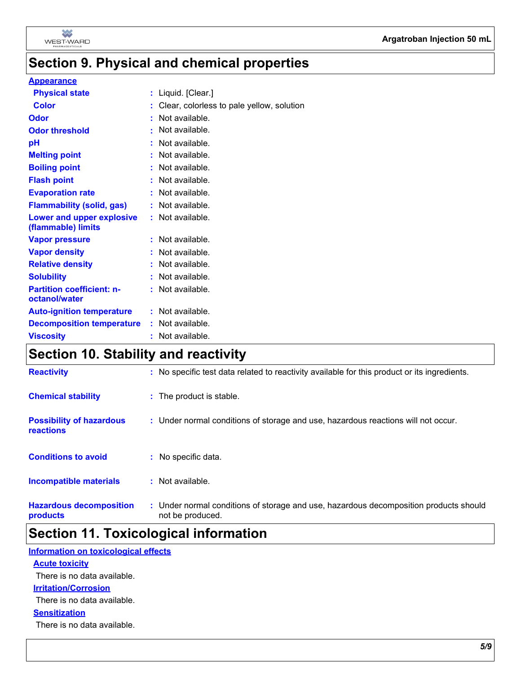

# **Section 9. Physical and chemical properties**

#### **Appearance**

| <b>Physical state</b>                             | t. | Liquid. [Clear.]                          |
|---------------------------------------------------|----|-------------------------------------------|
| <b>Color</b>                                      |    | Clear, colorless to pale yellow, solution |
| Odor                                              | ÷  | Not available.                            |
| <b>Odor threshold</b>                             | t  | Not available.                            |
| рH                                                | ÷  | Not available.                            |
| <b>Melting point</b>                              |    | Not available.                            |
| <b>Boiling point</b>                              | t. | Not available.                            |
| <b>Flash point</b>                                |    | Not available.                            |
| <b>Evaporation rate</b>                           | ÷  | Not available.                            |
| <b>Flammability (solid, gas)</b>                  |    | $:$ Not available.                        |
| Lower and upper explosive<br>(flammable) limits   |    | $:$ Not available.                        |
| <b>Vapor pressure</b>                             |    | : Not available.                          |
| <b>Vapor density</b>                              |    | Not available.                            |
| <b>Relative density</b>                           |    | Not available.                            |
| <b>Solubility</b>                                 | t. | Not available.                            |
| <b>Partition coefficient: n-</b><br>octanol/water |    | $:$ Not available.                        |
| <b>Auto-ignition temperature</b>                  |    | $:$ Not available.                        |
| <b>Decomposition temperature</b>                  |    | : Not available.                          |
| <b>Viscosity</b>                                  | t  | Not available.                            |

# **Section 10. Stability and reactivity**

| <b>Hazardous decomposition</b><br>products          | : Under normal conditions of storage and use, hazardous decomposition products should<br>not be produced. |
|-----------------------------------------------------|-----------------------------------------------------------------------------------------------------------|
| <b>Incompatible materials</b>                       | : Not available.                                                                                          |
| <b>Conditions to avoid</b>                          | : No specific data.                                                                                       |
| <b>Possibility of hazardous</b><br><b>reactions</b> | : Under normal conditions of storage and use, hazardous reactions will not occur.                         |
| <b>Chemical stability</b>                           | : The product is stable.                                                                                  |
| <b>Reactivity</b>                                   | : No specific test data related to reactivity available for this product or its ingredients.              |

### **Section 11. Toxicological information**

#### **Information on toxicological effects**

#### **Acute toxicity**

There is no data available.

### **Irritation/Corrosion**

There is no data available.

#### **Sensitization**

There is no data available.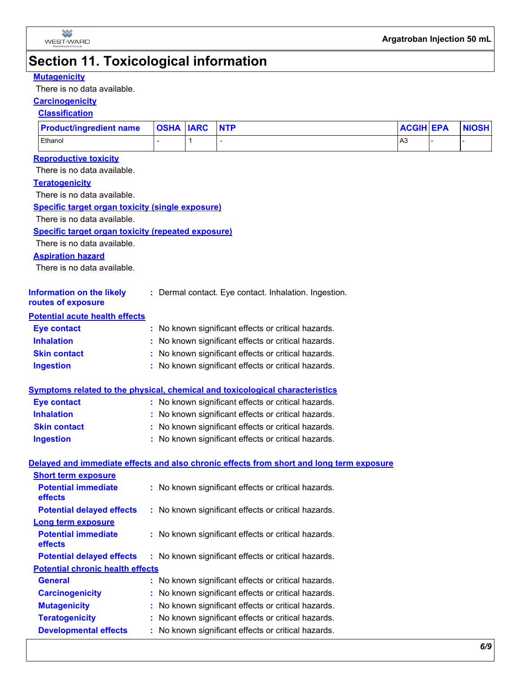

### **Section 11. Toxicological information**

#### **Mutagenicity**

#### There is no data available.

#### **Carcinogenicity**

#### **Classification**

| <b>Product/ingredient name</b> | <b>OSHA IARC</b> | <b>NTP</b> | <b>ACGIH EPA</b> | <b>NIOSH</b> |
|--------------------------------|------------------|------------|------------------|--------------|
| Ethanol                        |                  |            | l A3             |              |
| anvoduotiva taviaitu.          |                  |            |                  |              |

#### **Reproductive toxicity**

There is no data available.

#### **Teratogenicity**

There is no data available.

#### **Specific target organ toxicity (single exposure)**

There is no data available.

#### **Specific target organ toxicity (repeated exposure)**

There is no data available.

#### **Aspiration hazard**

There is no data available.

| Information on the likely | : Dermal contact. Eye contact. Inhalation. Ingestion. |
|---------------------------|-------------------------------------------------------|
| routes of exposure        |                                                       |

#### **Potential acute health effects**

| <b>Eve contact</b>  | : No known significant effects or critical hazards. |
|---------------------|-----------------------------------------------------|
| <b>Inhalation</b>   | : No known significant effects or critical hazards. |
| <b>Skin contact</b> | : No known significant effects or critical hazards. |
| <b>Ingestion</b>    | : No known significant effects or critical hazards. |

#### **Symptoms related to the physical, chemical and toxicological characteristics**

| Eye contact         | : No known significant effects or critical hazards. |
|---------------------|-----------------------------------------------------|
| <b>Inhalation</b>   | : No known significant effects or critical hazards. |
| <b>Skin contact</b> | : No known significant effects or critical hazards. |
| <b>Ingestion</b>    | : No known significant effects or critical hazards. |

|                                              | Delayed and immediate effects and also chronic effects from short and long term exposure |
|----------------------------------------------|------------------------------------------------------------------------------------------|
| <b>Short term exposure</b>                   |                                                                                          |
| <b>Potential immediate</b><br><b>effects</b> | : No known significant effects or critical hazards.                                      |
| <b>Potential delayed effects</b>             | : No known significant effects or critical hazards.                                      |
| Long term exposure                           |                                                                                          |
| <b>Potential immediate</b><br>effects        | : No known significant effects or critical hazards.                                      |
| <b>Potential delayed effects</b>             | : No known significant effects or critical hazards.                                      |
| <b>Potential chronic health effects</b>      |                                                                                          |
| <b>General</b>                               | : No known significant effects or critical hazards.                                      |
| <b>Carcinogenicity</b>                       | : No known significant effects or critical hazards.                                      |
| <b>Mutagenicity</b>                          | : No known significant effects or critical hazards.                                      |
| <b>Teratogenicity</b>                        | : No known significant effects or critical hazards.                                      |

**Developmental effects** : No known significant effects or critical hazards.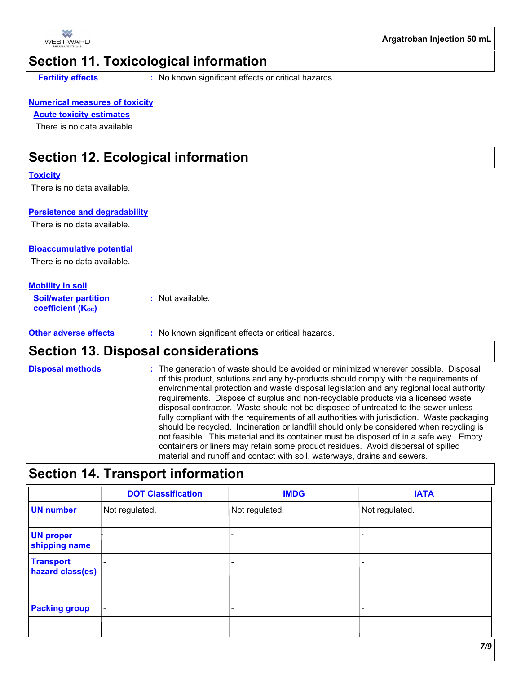

### **Section 11. Toxicological information**

**Fertility effects :** No known significant effects or critical hazards.

#### **Numerical measures of toxicity**

#### **Acute toxicity estimates**

There is no data available.

### **Section 12. Ecological information**

#### **Toxicity**

There is no data available.

#### **Persistence and degradability**

There is no data available.

#### **Bioaccumulative potential**

There is no data available.

#### **Mobility in soil**

**Soil/water partition coefficient (Koc) :** Not available.

**Other adverse effects :** No known significant effects or critical hazards.

### **Section 13. Disposal considerations**

The generation of waste should be avoided or minimized wherever possible. Disposal of this product, solutions and any by-products should comply with the requirements of environmental protection and waste disposal legislation and any regional local authority requirements. Dispose of surplus and non-recyclable products via a licensed waste disposal contractor. Waste should not be disposed of untreated to the sewer unless fully compliant with the requirements of all authorities with jurisdiction. Waste packaging should be recycled. Incineration or landfill should only be considered when recycling is not feasible. This material and its container must be disposed of in a safe way. Empty containers or liners may retain some product residues. Avoid dispersal of spilled material and runoff and contact with soil, waterways, drains and sewers. **Disposal methods :**

### **Section 14. Transport information**

|                                      |                          | <b>IMDG</b>    | <b>IATA</b>                  |  |
|--------------------------------------|--------------------------|----------------|------------------------------|--|
| <b>UN number</b>                     | Not regulated.           | Not regulated. | Not regulated.               |  |
| <b>UN proper</b><br>shipping name    |                          |                |                              |  |
| <b>Transport</b><br>hazard class(es) | $\overline{\phantom{0}}$ |                | $\qquad \qquad \blacksquare$ |  |
| <b>Packing group</b>                 | $\overline{\phantom{a}}$ |                |                              |  |
|                                      |                          |                |                              |  |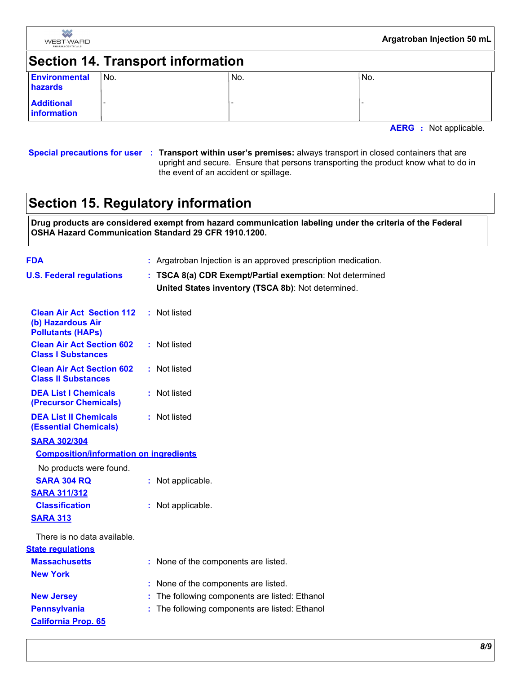

**Argatroban Injection 50 mL**

### **Section 14. Transport information**

| <b>Environmental</b><br>hazards         | <sup>∣</sup> No. | l No. | No. |
|-----------------------------------------|------------------|-------|-----|
| <b>Additional</b><br><b>Information</b> |                  |       |     |

**AERG :** Not applicable.

#### **Special precautions for user Transport within user's premises:** always transport in closed containers that are **:** upright and secure. Ensure that persons transporting the product know what to do in the event of an accident or spillage.

### **Section 15. Regulatory information**

**Drug products are considered exempt from hazard communication labeling under the criteria of the Federal OSHA Hazard Communication Standard 29 CFR 1910.1200.**

| <b>FDA</b>                                                                        | : Argatroban Injection is an approved prescription medication.                                                 |
|-----------------------------------------------------------------------------------|----------------------------------------------------------------------------------------------------------------|
| <b>U.S. Federal regulations</b>                                                   | : TSCA 8(a) CDR Exempt/Partial exemption: Not determined<br>United States inventory (TSCA 8b): Not determined. |
| <b>Clean Air Act Section 112</b><br>(b) Hazardous Air<br><b>Pollutants (HAPs)</b> | : Not listed                                                                                                   |
| <b>Clean Air Act Section 602</b><br><b>Class I Substances</b>                     | : Not listed                                                                                                   |
| <b>Clean Air Act Section 602</b><br><b>Class II Substances</b>                    | : Not listed                                                                                                   |
| <b>DEA List I Chemicals</b><br>(Precursor Chemicals)                              | : Not listed                                                                                                   |
| <b>DEA List II Chemicals</b><br><b>(Essential Chemicals)</b>                      | : Not listed                                                                                                   |
| <b>SARA 302/304</b>                                                               |                                                                                                                |
| <b>Composition/information on ingredients</b>                                     |                                                                                                                |
| No products were found.                                                           |                                                                                                                |
| <b>SARA 304 RQ</b>                                                                | : Not applicable.                                                                                              |
| <b>SARA 311/312</b>                                                               |                                                                                                                |
| <b>Classification</b>                                                             | : Not applicable.                                                                                              |
| <b>SARA 313</b>                                                                   |                                                                                                                |
| There is no data available.                                                       |                                                                                                                |
| <b>State requlations</b>                                                          |                                                                                                                |
| <b>Massachusetts</b>                                                              | : None of the components are listed.                                                                           |
| <b>New York</b>                                                                   |                                                                                                                |
|                                                                                   | : None of the components are listed.                                                                           |
| <b>New Jersey</b>                                                                 | : The following components are listed: Ethanol                                                                 |
| <b>Pennsylvania</b>                                                               | The following components are listed: Ethanol                                                                   |
| <b>California Prop. 65</b>                                                        |                                                                                                                |